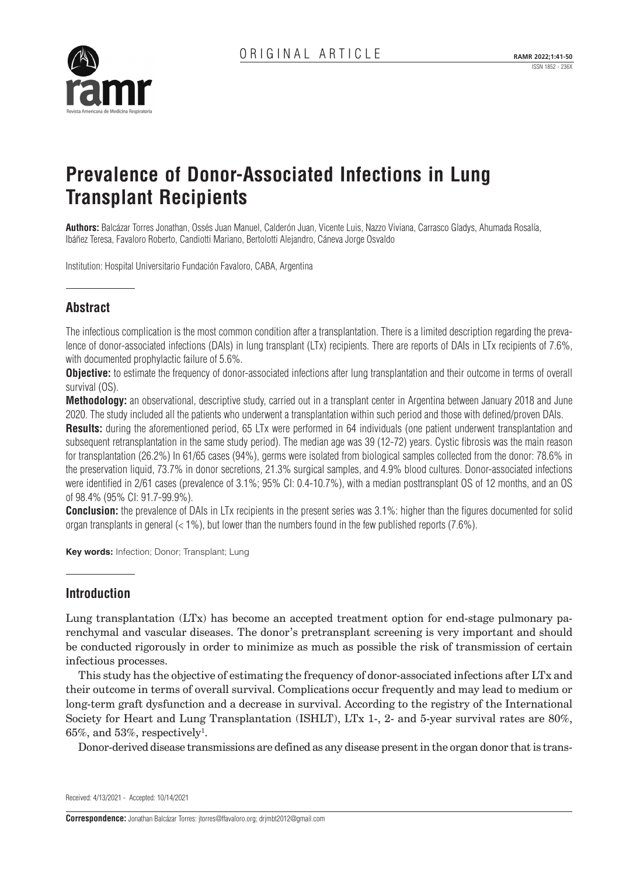ISSN 1852 - 236X



# **Prevalence of Donor-Associated Infections in Lung Transplant Recipients**

**Authors:** Balcázar Torres Jonathan, Ossés Juan Manuel, Calderón Juan, Vicente Luis, Nazzo Viviana, Carrasco Gladys, Ahumada Rosalía, Ibáñez Teresa, Favaloro Roberto, Candiotti Mariano, Bertolotti Alejandro, Cáneva Jorge Osvaldo

Institution: Hospital Universitario Fundación Favaloro, CABA, Argentina

# **Abstract**

The infectious complication is the most common condition after a transplantation. There is a limited description regarding the prevalence of donor-associated infections (DAIs) in lung transplant (LTx) recipients. There are reports of DAIs in LTx recipients of 7.6%, with documented prophylactic failure of 5.6%.

**Objective:** to estimate the frequency of donor-associated infections after lung transplantation and their outcome in terms of overall survival (OS).

**Methodology:** an observational, descriptive study, carried out in a transplant center in Argentina between January 2018 and June 2020. The study included all the patients who underwent a transplantation within such period and those with defined/proven DAIs.

**Results:** during the aforementioned period, 65 LTx were performed in 64 individuals (one patient underwent transplantation and subsequent retransplantation in the same study period). The median age was 39 (12-72) years. Cystic fibrosis was the main reason for transplantation (26.2%) In 61/65 cases (94%), germs were isolated from biological samples collected from the donor: 78.6% in the preservation liquid, 73.7% in donor secretions, 21.3% surgical samples, and 4.9% blood cultures. Donor-associated infections were identified in 2/61 cases (prevalence of 3.1%; 95% CI: 0.4-10.7%), with a median posttransplant OS of 12 months, and an OS of 98.4% (95% CI: 91.7-99.9%).

**Conclusion:** the prevalence of DAIs in LTx recipients in the present series was 3.1%: higher than the figures documented for solid organ transplants in general  $\ll$  1%), but lower than the numbers found in the few published reports (7.6%).

**Key words:** Infection; Donor; Transplant; Lung

# **Introduction**

Lung transplantation (LTx) has become an accepted treatment option for end-stage pulmonary parenchymal and vascular diseases. The donor's pretransplant screening is very important and should be conducted rigorously in order to minimize as much as possible the risk of transmission of certain infectious processes.

This study has the objective of estimating the frequency of donor-associated infections after LTx and their outcome in terms of overall survival. Complications occur frequently and may lead to medium or long-term graft dysfunction and a decrease in survival. According to the registry of the International Society for Heart and Lung Transplantation (ISHLT), LTx 1-, 2- and 5-year survival rates are 80%,  $65\%$ , and  $53\%$ , respectively<sup>1</sup>.

Donor-derived disease transmissions are defined as any disease present in the organ donor that is trans-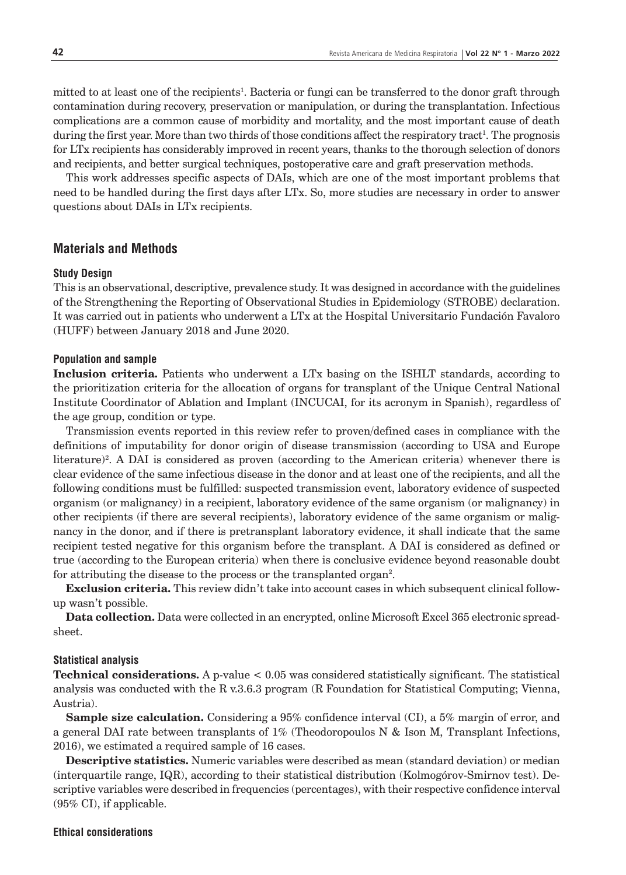mitted to at least one of the recipients<sup>1</sup>. Bacteria or fungi can be transferred to the donor graft through contamination during recovery, preservation or manipulation, or during the transplantation. Infectious complications are a common cause of morbidity and mortality, and the most important cause of death during the first year. More than two thirds of those conditions affect the respiratory tract<sup>1</sup>. The prognosis for LTx recipients has considerably improved in recent years, thanks to the thorough selection of donors and recipients, and better surgical techniques, postoperative care and graft preservation methods.

This work addresses specific aspects of DAIs, which are one of the most important problems that need to be handled during the first days after LTx. So, more studies are necessary in order to answer questions about DAIs in LTx recipients.

# **Materials and Methods**

#### **Study Design**

This is an observational, descriptive, prevalence study. It was designed in accordance with the guidelines of the Strengthening the Reporting of Observational Studies in Epidemiology (STROBE) declaration. It was carried out in patients who underwent a LTx at the Hospital Universitario Fundación Favaloro (HUFF) between January 2018 and June 2020.

#### **Population and sample**

**Inclusion criteria.** Patients who underwent a LTx basing on the ISHLT standards, according to the prioritization criteria for the allocation of organs for transplant of the Unique Central National Institute Coordinator of Ablation and Implant (INCUCAI, for its acronym in Spanish), regardless of the age group, condition or type.

Transmission events reported in this review refer to proven/defined cases in compliance with the definitions of imputability for donor origin of disease transmission (according to USA and Europe literature)<sup>2</sup>. A DAI is considered as proven (according to the American criteria) whenever there is clear evidence of the same infectious disease in the donor and at least one of the recipients, and all the following conditions must be fulfilled: suspected transmission event, laboratory evidence of suspected organism (or malignancy) in a recipient, laboratory evidence of the same organism (or malignancy) in other recipients (if there are several recipients), laboratory evidence of the same organism or malignancy in the donor, and if there is pretransplant laboratory evidence, it shall indicate that the same recipient tested negative for this organism before the transplant. A DAI is considered as defined or true (according to the European criteria) when there is conclusive evidence beyond reasonable doubt for attributing the disease to the process or the transplanted organ<sup>2</sup>.

**Exclusion criteria.** This review didn't take into account cases in which subsequent clinical followup wasn't possible.

**Data collection.** Data were collected in an encrypted, online Microsoft Excel 365 electronic spreadsheet.

#### **Statistical analysis**

**Technical considerations.** A p-value < 0.05 was considered statistically significant. The statistical analysis was conducted with the R v.3.6.3 program (R Foundation for Statistical Computing; Vienna, Austria).

**Sample size calculation.** Considering a 95% confidence interval (CI), a 5% margin of error, and a general DAI rate between transplants of  $1\%$  (Theodoropoulos N & Ison M, Transplant Infections, 2016), we estimated a required sample of 16 cases.

**Descriptive statistics.** Numeric variables were described as mean (standard deviation) or median (interquartile range, IQR), according to their statistical distribution (Kolmogórov-Smirnov test). Descriptive variables were described in frequencies (percentages), with their respective confidence interval  $(95\% \text{ CI})$ , if applicable.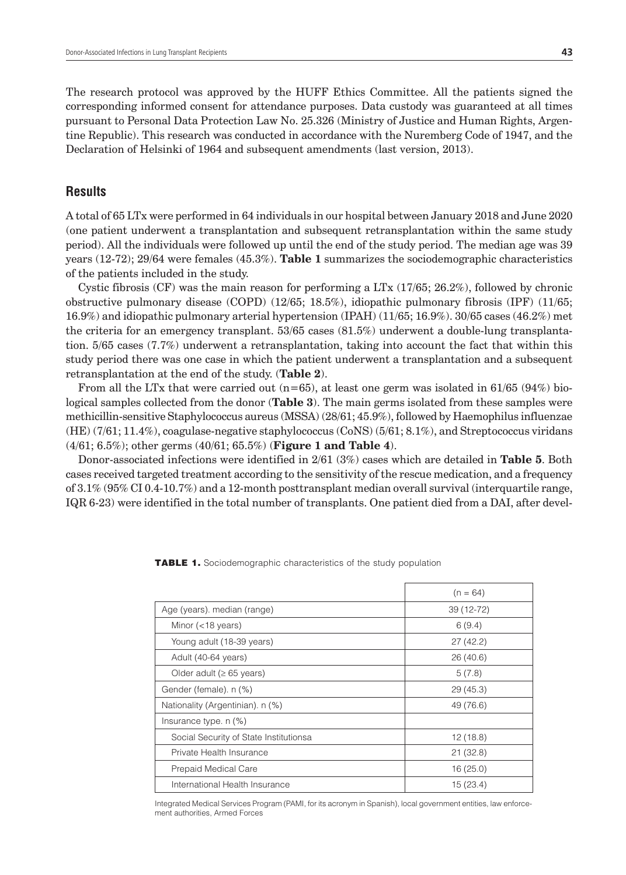The research protocol was approved by the HUFF Ethics Committee. All the patients signed the corresponding informed consent for attendance purposes. Data custody was guaranteed at all times pursuant to Personal Data Protection Law No. 25.326 (Ministry of Justice and Human Rights, Argentine Republic). This research was conducted in accordance with the Nuremberg Code of 1947, and the Declaration of Helsinki of 1964 and subsequent amendments (last version, 2013).

### **Results**

A total of 65 LTx were performed in 64 individuals in our hospital between January 2018 and June 2020 (one patient underwent a transplantation and subsequent retransplantation within the same study period). All the individuals were followed up until the end of the study period. The median age was 39 years (12-72); 29/64 were females (45.3%). **Table 1** summarizes the sociodemographic characteristics of the patients included in the study.

Cystic fibrosis (CF) was the main reason for performing a LTx (17/65; 26.2%), followed by chronic obstructive pulmonary disease (COPD) (12/65; 18.5%), idiopathic pulmonary fibrosis (IPF) (11/65; 16.9%) and idiopathic pulmonary arterial hypertension (IPAH) (11/65; 16.9%). 30/65 cases (46.2%) met the criteria for an emergency transplant. 53/65 cases (81.5%) underwent a double-lung transplantation. 5/65 cases (7.7%) underwent a retransplantation, taking into account the fact that within this study period there was one case in which the patient underwent a transplantation and a subsequent retransplantation at the end of the study. (**Table 2**).

From all the LTx that were carried out  $(n=65)$ , at least one germ was isolated in 61/65 (94%) biological samples collected from the donor (**Table 3**). The main germs isolated from these samples were methicillin-sensitive Staphylococcus aureus (MSSA) (28/61; 45.9%), followed by Haemophilus influenzae (HE) (7/61; 11.4%), coagulase-negative staphylococcus (CoNS) (5/61; 8.1%), and Streptococcus viridans (4/61; 6.5%); other germs (40/61; 65.5%) (**Figure 1 and Table 4**).

Donor-associated infections were identified in 2/61 (3%) cases which are detailed in **Table 5**. Both cases received targeted treatment according to the sensitivity of the rescue medication, and a frequency of 3.1% (95% CI 0.4-10.7%) and a 12-month posttransplant median overall survival (interquartile range, IQR 6-23) were identified in the total number of transplants. One patient died from a DAI, after devel-

|                                        | $(n = 64)$ |
|----------------------------------------|------------|
| Age (years). median (range)            | 39 (12-72) |
| Minor $(<$ 18 years)                   | 6(9.4)     |
| Young adult (18-39 years)              | 27(42.2)   |
| Adult (40-64 years)                    | 26(40.6)   |
| Older adult ( $\geq 65$ years)         | 5(7.8)     |
| Gender (female). n (%)                 | 29(45.3)   |
| Nationality (Argentinian). n (%)       | 49 (76.6)  |
| Insurance type. $n$ $(\%)$             |            |
| Social Security of State Institutionsa | 12(18.8)   |
| Private Health Insurance               | 21(32.8)   |
| Prepaid Medical Care                   | 16(25.0)   |
| International Health Insurance         | 15(23.4)   |

TABLE 1. Sociodemographic characteristics of the study population

Integrated Medical Services Program (PAMI, for its acronym in Spanish), local government entities, law enforcement authorities, Armed Forces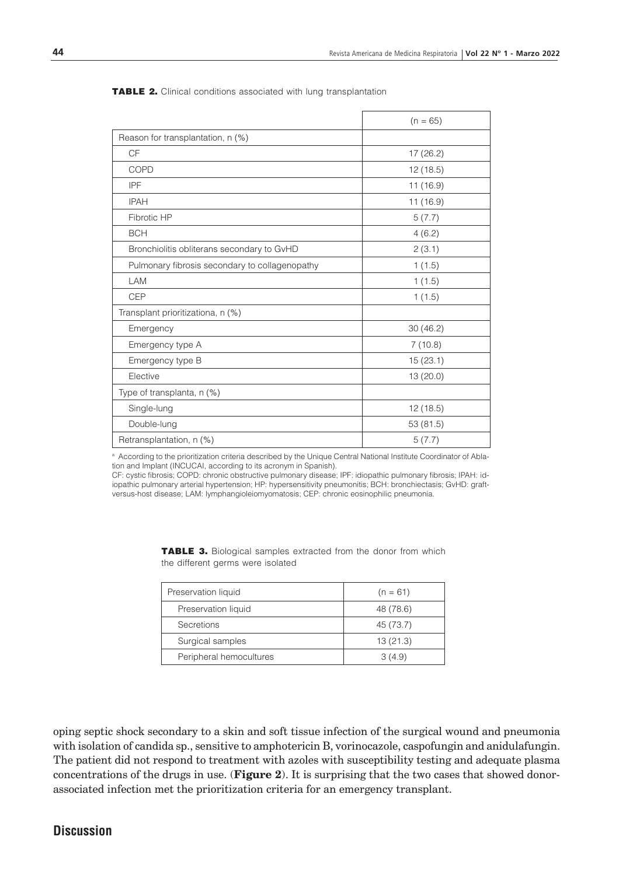|                                                | $(n = 65)$ |
|------------------------------------------------|------------|
| Reason for transplantation, n (%)              |            |
| CF                                             | 17 (26.2)  |
| COPD                                           | 12(18.5)   |
| <b>IPF</b>                                     | 11(16.9)   |
| <b>IPAH</b>                                    | 11 (16.9)  |
| Fibrotic HP                                    | 5(7.7)     |
| <b>BCH</b>                                     | 4(6.2)     |
| Bronchiolitis obliterans secondary to GvHD     | 2(3.1)     |
| Pulmonary fibrosis secondary to collagenopathy | 1(1.5)     |
| LAM                                            | 1(1.5)     |
| <b>CEP</b>                                     | 1(1.5)     |
| Transplant prioritizationa, n (%)              |            |
| Emergency                                      | 30(46.2)   |
| Emergency type A                               | 7(10.8)    |
| Emergency type B                               | 15(23.1)   |
| Elective                                       | 13 (20.0)  |
| Type of transplanta, n (%)                     |            |
| Single-lung                                    | 12(18.5)   |
| Double-lung                                    | 53 (81.5)  |
| Retransplantation, n (%)                       | 5(7.7)     |

TABLE 2. Clinical conditions associated with lung transplantation

a According to the prioritization criteria described by the Unique Central National Institute Coordinator of Ablation and Implant (INCUCAI, according to its acronym in Spanish).

CF: cystic fibrosis; COPD: chronic obstructive pulmonary disease; IPF: idiopathic pulmonary fibrosis; IPAH: idiopathic pulmonary arterial hypertension; HP: hypersensitivity pneumonitis; BCH: bronchiectasis; GvHD: graftversus-host disease; LAM: lymphangioleiomyomatosis; CEP: chronic eosinophilic pneumonia.

| Preservation liquid     | $(n = 61)$ |
|-------------------------|------------|
| Preservation liquid     | 48 (78.6)  |
| Secretions              | 45 (73.7)  |
| Surgical samples        | 13(21.3)   |
| Peripheral hemocultures | 3(4.9)     |

TABLE 3. Biological samples extracted from the donor from which the different germs were isolated

oping septic shock secondary to a skin and soft tissue infection of the surgical wound and pneumonia with isolation of candida sp., sensitive to amphotericin B, vorinocazole, caspofungin and anidulafungin. The patient did not respond to treatment with azoles with susceptibility testing and adequate plasma concentrations of the drugs in use. (**Figure 2**). It is surprising that the two cases that showed donorassociated infection met the prioritization criteria for an emergency transplant.

# **Discussion**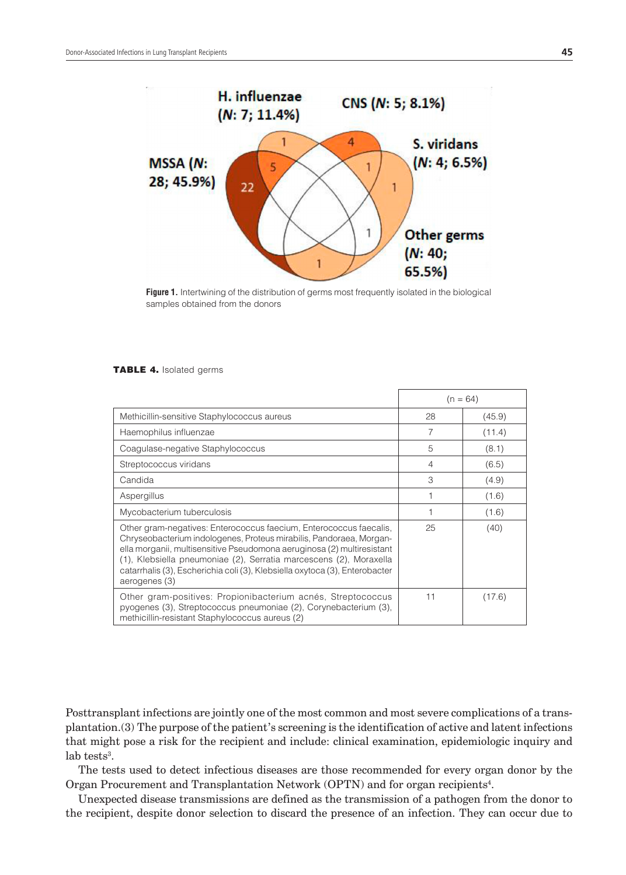

**Figure 1.** Intertwining of the distribution of germs most frequently isolated in the biological samples obtained from the donors

#### TABLE 4. Isolated germs

|                                                                                                                                                                                                                                                                                                                                                                                           |                | $(n = 64)$ |
|-------------------------------------------------------------------------------------------------------------------------------------------------------------------------------------------------------------------------------------------------------------------------------------------------------------------------------------------------------------------------------------------|----------------|------------|
| Methicillin-sensitive Staphylococcus aureus                                                                                                                                                                                                                                                                                                                                               | 28             | (45.9)     |
| Haemophilus influenzae                                                                                                                                                                                                                                                                                                                                                                    | 7              | (11.4)     |
| Coagulase-negative Staphylococcus                                                                                                                                                                                                                                                                                                                                                         | 5              | (8.1)      |
| Streptococcus viridans                                                                                                                                                                                                                                                                                                                                                                    | $\overline{4}$ | (6.5)      |
| Candida                                                                                                                                                                                                                                                                                                                                                                                   | 3              | (4.9)      |
| Aspergillus                                                                                                                                                                                                                                                                                                                                                                               |                | (1.6)      |
| Mycobacterium tuberculosis                                                                                                                                                                                                                                                                                                                                                                |                | (1.6)      |
| Other gram-negatives: Enterococcus faecium, Enterococcus faecalis,<br>Chryseobacterium indologenes, Proteus mirabilis, Pandoraea, Morgan-<br>ella morganii, multisensitive Pseudomona aeruginosa (2) multiresistant<br>(1), Klebsiella pneumoniae (2), Serratia marcescens (2), Moraxella<br>catarrhalis (3), Escherichia coli (3), Klebsiella oxytoca (3), Enterobacter<br>aerogenes (3) | 25             | (40)       |
| Other gram-positives: Propionibacterium acnés, Streptococcus<br>pyogenes (3), Streptococcus pneumoniae (2), Corynebacterium (3),<br>methicillin-resistant Staphylococcus aureus (2)                                                                                                                                                                                                       | 11             | (17.6)     |

Posttransplant infections are jointly one of the most common and most severe complications of a transplantation.(3) The purpose of the patient's screening is the identification of active and latent infections that might pose a risk for the recipient and include: clinical examination, epidemiologic inquiry and  $lab$  tests<sup>3</sup>.

The tests used to detect infectious diseases are those recommended for every organ donor by the Organ Procurement and Transplantation Network (OPTN) and for organ recipients<sup>4</sup>.

Unexpected disease transmissions are defined as the transmission of a pathogen from the donor to the recipient, despite donor selection to discard the presence of an infection. They can occur due to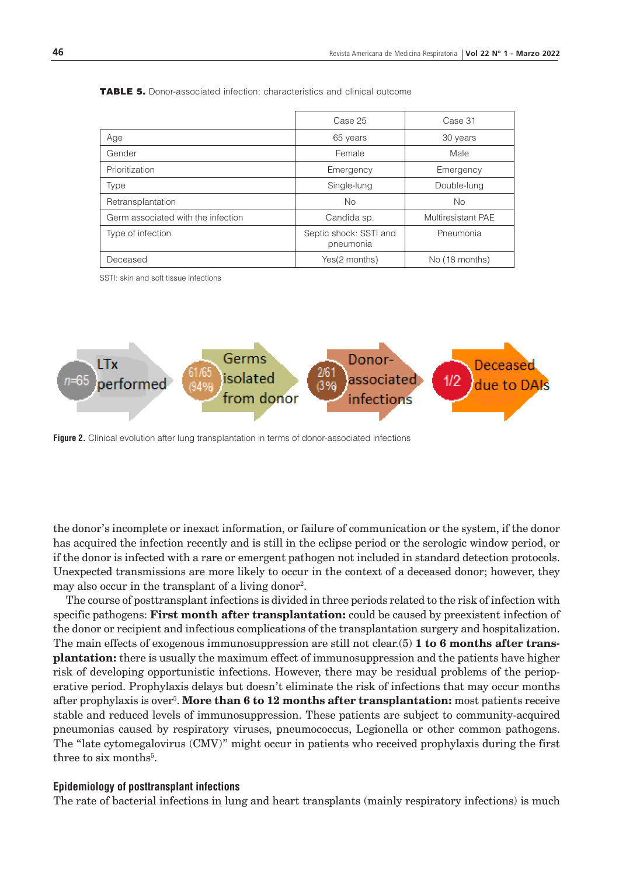|                                    | Case 25                             | Case 31            |
|------------------------------------|-------------------------------------|--------------------|
| Age                                | 65 years                            | 30 years           |
| Gender                             | Female                              | Male               |
| Prioritization                     | Emergency                           | Emergency          |
| Type                               | Single-lung                         | Double-lung        |
| Retransplantation                  | <b>No</b>                           | No                 |
| Germ associated with the infection | Candida sp.                         | Multiresistant PAE |
| Type of infection                  | Septic shock: SSTI and<br>pneumonia | Pneumonia          |
| Deceased                           | Yes(2 months)                       | No (18 months)     |

TABLE 5. Donor-associated infection: characteristics and clinical outcome

SSTI: skin and soft tissue infections



**Figure 2.** Clinical evolution after lung transplantation in terms of donor-associated infections

the donor's incomplete or inexact information, or failure of communication or the system, if the donor has acquired the infection recently and is still in the eclipse period or the serologic window period, or if the donor is infected with a rare or emergent pathogen not included in standard detection protocols. Unexpected transmissions are more likely to occur in the context of a deceased donor; however, they may also occur in the transplant of a living donor<sup>2</sup>.

The course of posttransplant infections is divided in three periods related to the risk of infection with specific pathogens: **First month after transplantation:** could be caused by preexistent infection of the donor or recipient and infectious complications of the transplantation surgery and hospitalization. The main effects of exogenous immunosuppression are still not clear.(5) **1 to 6 months after transplantation:** there is usually the maximum effect of immunosuppression and the patients have higher risk of developing opportunistic infections. However, there may be residual problems of the perioperative period. Prophylaxis delays but doesn't eliminate the risk of infections that may occur months after prophylaxis is over5 . **More than 6 to 12 months after transplantation:** most patients receive stable and reduced levels of immunosuppression. These patients are subject to community-acquired pneumonias caused by respiratory viruses, pneumococcus, Legionella or other common pathogens. The "late cytomegalovirus (CMV)" might occur in patients who received prophylaxis during the first three to six months<sup>5</sup>.

#### **Epidemiology of posttransplant infections**

The rate of bacterial infections in lung and heart transplants (mainly respiratory infections) is much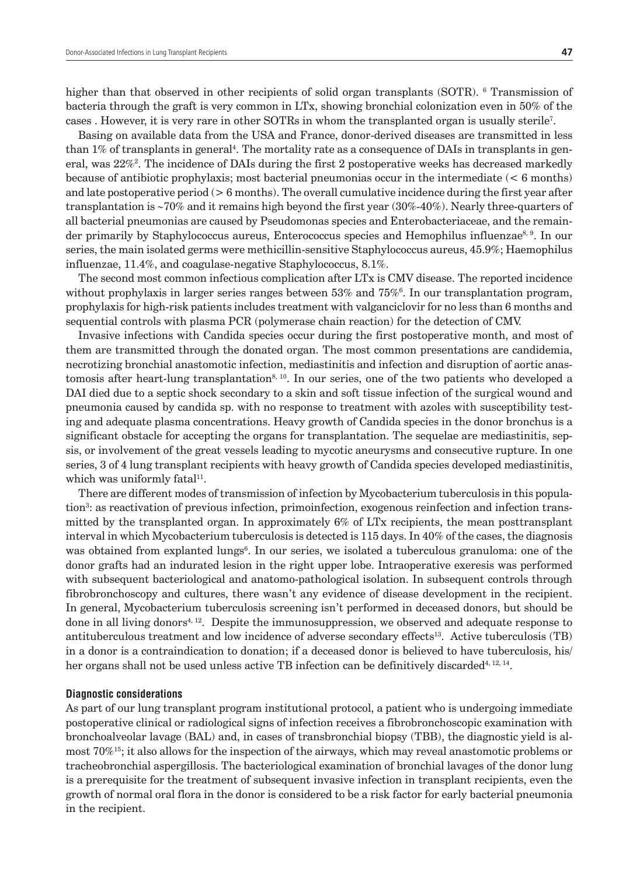higher than that observed in other recipients of solid organ transplants (SOTR). <sup>6</sup> Transmission of bacteria through the graft is very common in LTx, showing bronchial colonization even in 50% of the cases . However, it is very rare in other SOTRs in whom the transplanted organ is usually sterile7 .

Basing on available data from the USA and France, donor-derived diseases are transmitted in less than 1% of transplants in general<sup>4</sup>. The mortality rate as a consequence of DAIs in transplants in general, was  $22\%$ ? The incidence of DAIs during the first 2 postoperative weeks has decreased markedly because of antibiotic prophylaxis; most bacterial pneumonias occur in the intermediate  $(< 6$  months) and late postoperative period (> 6 months). The overall cumulative incidence during the first year after transplantation is ∼70% and it remains high beyond the first year (30%-40%). Nearly three-quarters of all bacterial pneumonias are caused by Pseudomonas species and Enterobacteriaceae, and the remainder primarily by Staphylococcus aureus, Enterococcus species and Hemophilus influenzae<sup>8, 9</sup>. In our series, the main isolated germs were methicillin-sensitive Staphylococcus aureus, 45.9%; Haemophilus influenzae, 11.4%, and coagulase-negative Staphylococcus, 8.1%.

The second most common infectious complication after LTx is CMV disease. The reported incidence without prophylaxis in larger series ranges between  $53\%$  and  $75\%$ <sup>6</sup>. In our transplantation program, prophylaxis for high-risk patients includes treatment with valganciclovir for no less than 6 months and sequential controls with plasma PCR (polymerase chain reaction) for the detection of CMV.

Invasive infections with Candida species occur during the first postoperative month, and most of them are transmitted through the donated organ. The most common presentations are candidemia, necrotizing bronchial anastomotic infection, mediastinitis and infection and disruption of aortic anastomosis after heart-lung transplantation<sup>8, 10</sup>. In our series, one of the two patients who developed a DAI died due to a septic shock secondary to a skin and soft tissue infection of the surgical wound and pneumonia caused by candida sp. with no response to treatment with azoles with susceptibility testing and adequate plasma concentrations. Heavy growth of Candida species in the donor bronchus is a significant obstacle for accepting the organs for transplantation. The sequelae are mediastinitis, sepsis, or involvement of the great vessels leading to mycotic aneurysms and consecutive rupture. In one series, 3 of 4 lung transplant recipients with heavy growth of Candida species developed mediastinitis, which was uniformly fatal<sup>11</sup>.

There are different modes of transmission of infection by Mycobacterium tuberculosis in this population<sup>3</sup>: as reactivation of previous infection, primoinfection, exogenous reinfection and infection transmitted by the transplanted organ. In approximately 6% of LTx recipients, the mean posttransplant interval in which Mycobacterium tuberculosis is detected is 115 days. In 40% of the cases, the diagnosis was obtained from explanted lungs<sup>6</sup>. In our series, we isolated a tuberculous granuloma: one of the donor grafts had an indurated lesion in the right upper lobe. Intraoperative exeresis was performed with subsequent bacteriological and anatomo-pathological isolation. In subsequent controls through fibrobronchoscopy and cultures, there wasn't any evidence of disease development in the recipient. In general, Mycobacterium tuberculosis screening isn't performed in deceased donors, but should be done in all living donors<sup>4, 12</sup>. Despite the immunosuppression, we observed and adequate response to antituberculous treatment and low incidence of adverse secondary effects13. Active tuberculosis (TB) in a donor is a contraindication to donation; if a deceased donor is believed to have tuberculosis, his/ her organs shall not be used unless active TB infection can be definitively discarded<sup>4, 12, 14</sup>.

#### **Diagnostic considerations**

As part of our lung transplant program institutional protocol, a patient who is undergoing immediate postoperative clinical or radiological signs of infection receives a fibrobronchoscopic examination with bronchoalveolar lavage (BAL) and, in cases of transbronchial biopsy (TBB), the diagnostic yield is almost 70%15; it also allows for the inspection of the airways, which may reveal anastomotic problems or tracheobronchial aspergillosis. The bacteriological examination of bronchial lavages of the donor lung is a prerequisite for the treatment of subsequent invasive infection in transplant recipients, even the growth of normal oral flora in the donor is considered to be a risk factor for early bacterial pneumonia in the recipient.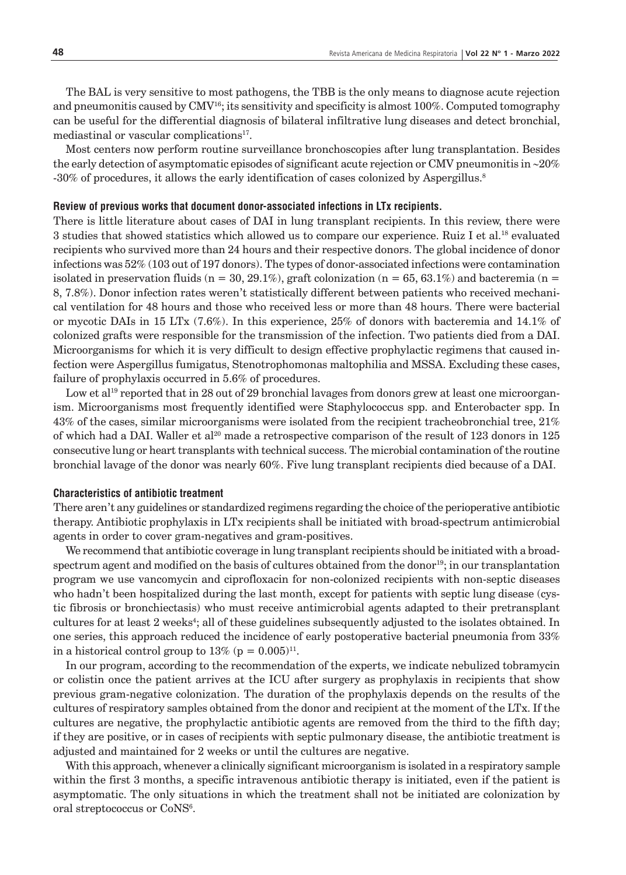The BAL is very sensitive to most pathogens, the TBB is the only means to diagnose acute rejection and pneumonitis caused by  $\text{CMV}^{16}$ ; its sensitivity and specificity is almost 100%. Computed tomography can be useful for the differential diagnosis of bilateral infiltrative lung diseases and detect bronchial, mediastinal or vascular complications<sup>17</sup>.

Most centers now perform routine surveillance bronchoscopies after lung transplantation. Besides the early detection of asymptomatic episodes of significant acute rejection or CMV pneumonitis in ∼20% -30% of procedures, it allows the early identification of cases colonized by Aspergillus.8

#### **Review of previous works that document donor-associated infections in LTx recipients.**

There is little literature about cases of DAI in lung transplant recipients. In this review, there were 3 studies that showed statistics which allowed us to compare our experience. Ruiz I et al.18 evaluated recipients who survived more than 24 hours and their respective donors. The global incidence of donor infections was 52% (103 out of 197 donors). The types of donor-associated infections were contamination isolated in preservation fluids  $(n = 30, 29.1\%)$ , graft colonization  $(n = 65, 63.1\%)$  and bacteremia  $(n = 65, 63.1\%)$ 8, 7.8%). Donor infection rates weren't statistically different between patients who received mechanical ventilation for 48 hours and those who received less or more than 48 hours. There were bacterial or mycotic DAIs in 15 LTx (7.6%). In this experience, 25% of donors with bacteremia and 14.1% of colonized grafts were responsible for the transmission of the infection. Two patients died from a DAI. Microorganisms for which it is very difficult to design effective prophylactic regimens that caused infection were Aspergillus fumigatus, Stenotrophomonas maltophilia and MSSA. Excluding these cases, failure of prophylaxis occurred in 5.6% of procedures.

Low et al<sup>19</sup> reported that in 28 out of 29 bronchial lavages from donors grew at least one microorganism. Microorganisms most frequently identified were Staphylococcus spp. and Enterobacter spp. In 43% of the cases, similar microorganisms were isolated from the recipient tracheobronchial tree, 21% of which had a DAI. Waller et al<sup>20</sup> made a retrospective comparison of the result of 123 donors in 125 consecutive lung or heart transplants with technical success. The microbial contamination of the routine bronchial lavage of the donor was nearly 60%. Five lung transplant recipients died because of a DAI.

#### **Characteristics of antibiotic treatment**

There aren't any guidelines or standardized regimens regarding the choice of the perioperative antibiotic therapy. Antibiotic prophylaxis in LTx recipients shall be initiated with broad-spectrum antimicrobial agents in order to cover gram-negatives and gram-positives.

We recommend that antibiotic coverage in lung transplant recipients should be initiated with a broadspectrum agent and modified on the basis of cultures obtained from the donor<sup>19</sup>; in our transplantation program we use vancomycin and ciprofloxacin for non-colonized recipients with non-septic diseases who hadn't been hospitalized during the last month, except for patients with septic lung disease (cystic fibrosis or bronchiectasis) who must receive antimicrobial agents adapted to their pretransplant cultures for at least 2 weeks<sup>4</sup>; all of these guidelines subsequently adjusted to the isolates obtained. In one series, this approach reduced the incidence of early postoperative bacterial pneumonia from 33% in a historical control group to  $13\%$  (p = 0.005)<sup>11</sup>.

In our program, according to the recommendation of the experts, we indicate nebulized tobramycin or colistin once the patient arrives at the ICU after surgery as prophylaxis in recipients that show previous gram-negative colonization. The duration of the prophylaxis depends on the results of the cultures of respiratory samples obtained from the donor and recipient at the moment of the LTx. If the cultures are negative, the prophylactic antibiotic agents are removed from the third to the fifth day; if they are positive, or in cases of recipients with septic pulmonary disease, the antibiotic treatment is adjusted and maintained for 2 weeks or until the cultures are negative.

With this approach, whenever a clinically significant microorganism is isolated in a respiratory sample within the first 3 months, a specific intravenous antibiotic therapy is initiated, even if the patient is asymptomatic. The only situations in which the treatment shall not be initiated are colonization by oral streptococcus or CoNS<sup>6</sup>.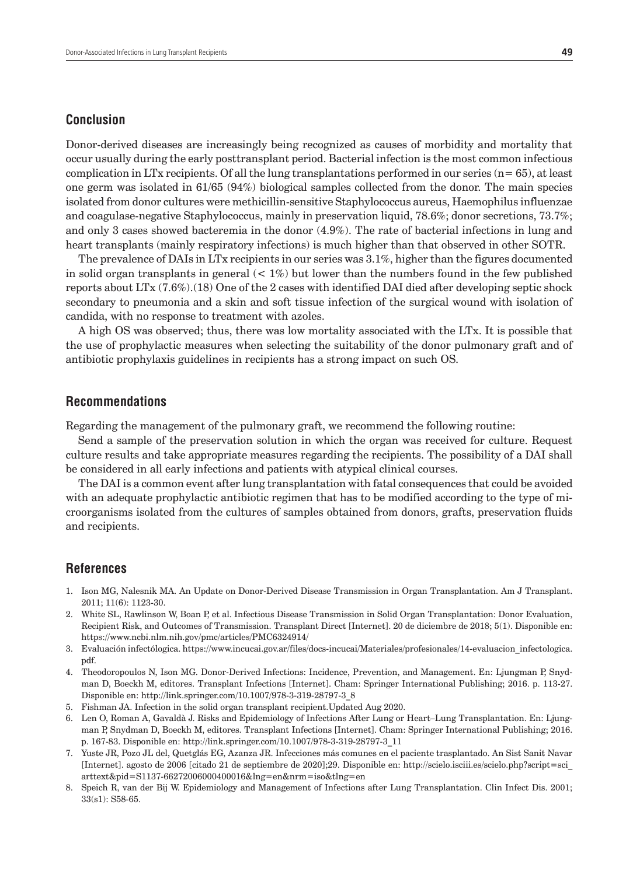## **Conclusion**

Donor-derived diseases are increasingly being recognized as causes of morbidity and mortality that occur usually during the early posttransplant period. Bacterial infection is the most common infectious complication in LTx recipients. Of all the lung transplantations performed in our series  $(n= 65)$ , at least one germ was isolated in 61/65 (94%) biological samples collected from the donor. The main species isolated from donor cultures were methicillin-sensitive Staphylococcus aureus, Haemophilus influenzae and coagulase-negative Staphylococcus, mainly in preservation liquid, 78.6%; donor secretions, 73.7%; and only 3 cases showed bacteremia in the donor (4.9%). The rate of bacterial infections in lung and heart transplants (mainly respiratory infections) is much higher than that observed in other SOTR.

The prevalence of DAIs in LTx recipients in our series was 3.1%, higher than the figures documented in solid organ transplants in general  $(< 1\%)$  but lower than the numbers found in the few published reports about LTx (7.6%).(18) One of the 2 cases with identified DAI died after developing septic shock secondary to pneumonia and a skin and soft tissue infection of the surgical wound with isolation of candida, with no response to treatment with azoles.

A high OS was observed; thus, there was low mortality associated with the LTx. It is possible that the use of prophylactic measures when selecting the suitability of the donor pulmonary graft and of antibiotic prophylaxis guidelines in recipients has a strong impact on such OS.

### **Recommendations**

Regarding the management of the pulmonary graft, we recommend the following routine:

Send a sample of the preservation solution in which the organ was received for culture. Request culture results and take appropriate measures regarding the recipients. The possibility of a DAI shall be considered in all early infections and patients with atypical clinical courses.

The DAI is a common event after lung transplantation with fatal consequences that could be avoided with an adequate prophylactic antibiotic regimen that has to be modified according to the type of microorganisms isolated from the cultures of samples obtained from donors, grafts, preservation fluids and recipients.

## **References**

- 1. Ison MG, Nalesnik MA. An Update on Donor-Derived Disease Transmission in Organ Transplantation. Am J Transplant. 2011; 11(6): 1123-30.
- 2. White SL, Rawlinson W, Boan P, et al. Infectious Disease Transmission in Solid Organ Transplantation: Donor Evaluation, Recipient Risk, and Outcomes of Transmission. Transplant Direct [Internet]. 20 de diciembre de 2018; 5(1). Disponible en: https://www.ncbi.nlm.nih.gov/pmc/articles/PMC6324914/
- 3. Evaluación infectólogica. https://www.incucai.gov.ar/files/docs-incucai/Materiales/profesionales/14-evaluacion\_infectologica. pdf.
- 4. Theodoropoulos N, Ison MG. Donor-Derived Infections: Incidence, Prevention, and Management. En: Ljungman P, Snydman D, Boeckh M, editores. Transplant Infections [Internet]. Cham: Springer International Publishing; 2016. p. 113-27. Disponible en: http://link.springer.com/10.1007/978-3-319-28797-3\_8
- 5. Fishman JA. Infection in the solid organ transplant recipient.Updated Aug 2020.
- 6. Len O, Roman A, Gavaldà J. Risks and Epidemiology of Infections After Lung or Heart–Lung Transplantation. En: Ljungman P, Snydman D, Boeckh M, editores. Transplant Infections [Internet]. Cham: Springer International Publishing; 2016. p. 167-83. Disponible en: http://link.springer.com/10.1007/978-3-319-28797-3\_11
- 7. Yuste JR, Pozo JL del, Quetglás EG, Azanza JR. Infecciones más comunes en el paciente trasplantado. An Sist Sanit Navar [Internet]. agosto de 2006 [citado 21 de septiembre de 2020];29. Disponible en: http://scielo.isciii.es/scielo.php?script=sci\_ arttext&pid=S1137-66272006000400016&lng=en&nrm=iso&tlng=en
- 8. Speich R, van der Bij W. Epidemiology and Management of Infections after Lung Transplantation. Clin Infect Dis. 2001; 33(s1): S58-65.